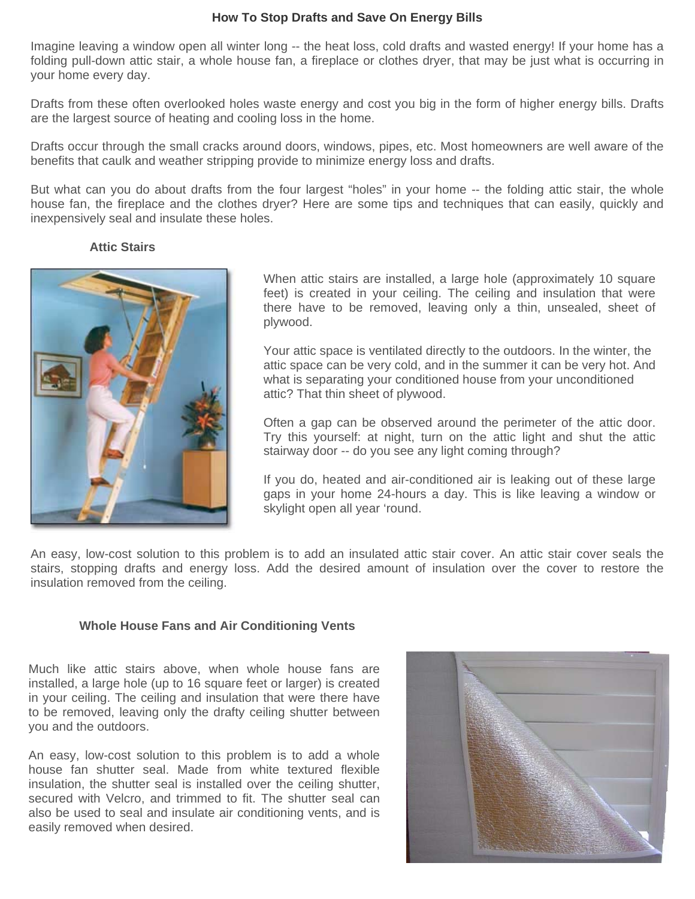## **How To Stop Drafts and Save On Energy Bills**

Imagine leaving a window open all winter long -- the heat loss, cold drafts and wasted energy! If your home has a folding pull-down attic stair, a whole house fan, a fireplace or clothes dryer, that may be just what is occurring in your home every day.

Drafts from these often overlooked holes waste energy and cost you big in the form of higher energy bills. Drafts are the largest source of heating and cooling loss in the home.

Drafts occur through the small cracks around doors, windows, pipes, etc. Most homeowners are well aware of the benefits that caulk and weather stripping provide to minimize energy loss and drafts.

But what can you do about drafts from the four largest "holes" in your home -- the folding attic stair, the whole house fan, the fireplace and the clothes dryer? Here are some tips and techniques that can easily, quickly and inexpensively seal and insulate these holes.

## **Attic Stairs**



When attic stairs are installed, a large hole (approximately 10 square feet) is created in your ceiling. The ceiling and insulation that were there have to be removed, leaving only a thin, unsealed, sheet of plywood.

Your attic space is ventilated directly to the outdoors. In the winter, the attic space can be very cold, and in the summer it can be very hot. And what is separating your conditioned house from your unconditioned attic? That thin sheet of plywood.

Often a gap can be observed around the perimeter of the attic door. Try this yourself: at night, turn on the attic light and shut the attic stairway door -- do you see any light coming through?

If you do, heated and air-conditioned air is leaking out of these large gaps in your home 24-hours a day. This is like leaving a window or skylight open all year 'round.

An easy, low-cost solution to this problem is to add an insulated attic stair cover. An attic stair cover seals the stairs, stopping drafts and energy loss. Add the desired amount of insulation over the cover to restore the insulation removed from the ceiling.

## **Whole House Fans and Air Conditioning Vents**

Much like attic stairs above, when whole house fans are installed, a large hole (up to 16 square feet or larger) is created in your ceiling. The ceiling and insulation that were there have to be removed, leaving only the drafty ceiling shutter between you and the outdoors.

An easy, low-cost solution to this problem is to add a whole house fan shutter seal. Made from white textured flexible insulation, the shutter seal is installed over the ceiling shutter, secured with Velcro, and trimmed to fit. The shutter seal can also be used to seal and insulate air conditioning vents, and is easily removed when desired.